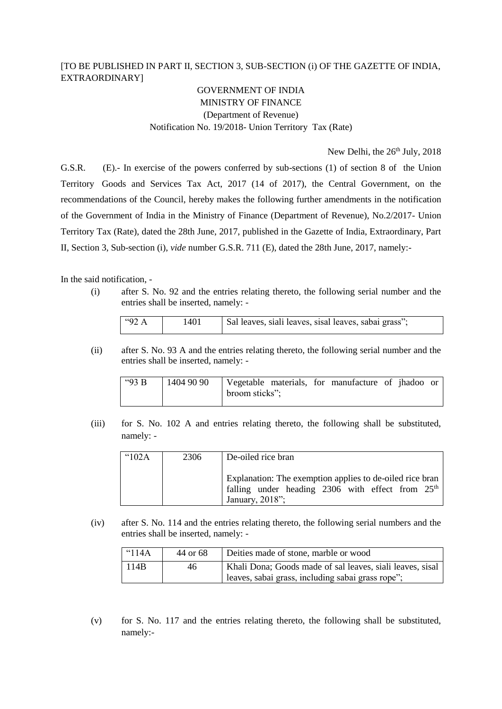## [TO BE PUBLISHED IN PART II, SECTION 3, SUB-SECTION (i) OF THE GAZETTE OF INDIA, EXTRAORDINARY]

## GOVERNMENT OF INDIA MINISTRY OF FINANCE (Department of Revenue) Notification No. 19/2018- Union Territory Tax (Rate)

New Delhi, the  $26<sup>th</sup>$  July, 2018

G.S.R. (E).- In exercise of the powers conferred by sub-sections (1) of section 8 of the Union Territory Goods and Services Tax Act, 2017 (14 of 2017), the Central Government, on the recommendations of the Council, hereby makes the following further amendments in the notification of the Government of India in the Ministry of Finance (Department of Revenue), No.2/2017- Union Territory Tax (Rate), dated the 28th June, 2017, published in the Gazette of India, Extraordinary, Part II, Section 3, Sub-section (i), *vide* number G.S.R. 711 (E), dated the 28th June, 2017, namely:-

In the said notification, -

(i) after S. No. 92 and the entries relating thereto, the following serial number and the entries shall be inserted, namely: -

| $\frac{14}{92}$ A | !401 | Sal leaves, siali leaves, sisal leaves, sabai grass"; |
|-------------------|------|-------------------------------------------------------|
|-------------------|------|-------------------------------------------------------|

(ii) after S. No. 93 A and the entries relating thereto, the following serial number and the entries shall be inserted, namely: -

| " $93B$ | 1404 90 90 |                |  | Vegetable materials, for manufacture of jhadoo or |  |  |
|---------|------------|----------------|--|---------------------------------------------------|--|--|
|         |            | broom sticks"; |  |                                                   |  |  |

(iii) for S. No. 102 A and entries relating thereto, the following shall be substituted, namely: -

| $^{\circ}102A$ | 2306 | De-oiled rice bran                                                                                                                |
|----------------|------|-----------------------------------------------------------------------------------------------------------------------------------|
|                |      | Explanation: The exemption applies to de-oiled rice bran<br>falling under heading 2306 with effect from $25th$<br>January, 2018"; |

(iv) after S. No. 114 and the entries relating thereto, the following serial numbers and the entries shall be inserted, namely: -

| $^{\circ}114A$ | 44 or 68 | Deities made of stone, marble or wood                     |
|----------------|----------|-----------------------------------------------------------|
| 114B           | 46       | Khali Dona; Goods made of sal leaves, siali leaves, sisal |
|                |          | leaves, sabai grass, including sabai grass rope";         |

(v) for S. No. 117 and the entries relating thereto, the following shall be substituted, namely:-